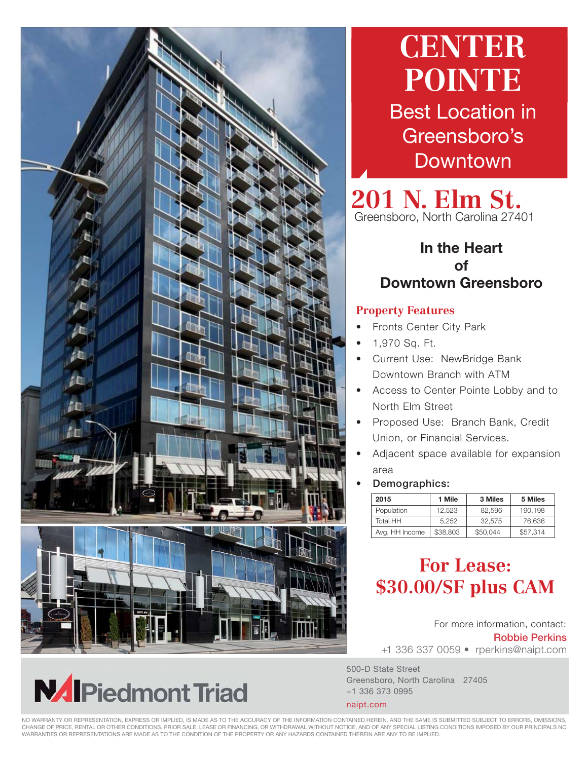

**NAIPiedmont Triad** 

## **CENTER POINTE**

Best Location in Greensboro's Downtown

**201 N. Elm St.** Greensboro, North Carolina 27401

## In the Heart of Downtown Greensboro

## **Property Features**

- Fronts Center City Park
- 1,970 Sq. Ft.
- Current Use: NewBridge Bank Downtown Branch with ATM
- Access to Center Pointe Lobby and to North Elm Street
- Proposed Use: Branch Bank, Credit Union, or Financial Services.
- Adjacent space available for expansion area
- 

| 2015           | 1 Mile   | 3 Miles  | 5 Miles  |
|----------------|----------|----------|----------|
| Population     | 12.523   | 82.596   | 190.198  |
| Total HH       | 5.252    | 32.575   | 76.636   |
| Avg. HH Income | \$38,803 | \$50.044 | \$57,314 |

## **For Lease: \$30.00/SF plus CAM**

For more information, contact: Robbie Perkins +1 336 337 0059 • rperkins@naipt.com

500-D State Street Greensboro, North Carolina 27405 +1 336 373 0995

naipt.com

NO WARRANTY OR REPRESENTATION, EXPRESS OR IMPLIED, IS MADE AS TO THE ACCURACY OF THE INFORMATION CONTAINED HEREIN, AND THE SAME IS SUBMITTED SUBJECT TO ERRORS, OMISSIONS, CHANGE OF PRICE, RENTAL OR OTHER CONDITIONS, PRIOR SALE, LEASE OR FINANCING, OR WITHDRAWAL WITHOUT NOTICE, AND OF ANY SPECIAL LISTING CONDITIONS IMPOSED BY OUR PRINCIPALS NO WARRANTIES OR REPRESENTATIONS ARE MADE AS TO THE CONDITION OF THE PROPERTY OR ANY HAZARDS CONTAINED THEREIN ARE ANY TO BE IMPLIED.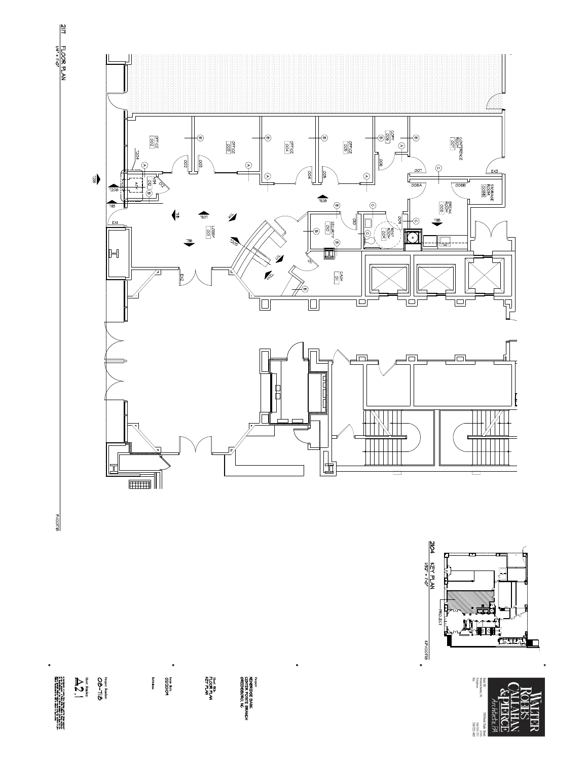



 $\begin{array}{l} \mathcal{A}=\mathcal{A}=\mathcal{A}=\mathcal{A}=\mathcal{A}=\mathcal{A}=\mathcal{A}=\mathcal{A}=\mathcal{A}=\mathcal{A}=\mathcal{A}=\mathcal{A}=\mathcal{A}=\mathcal{A}=\mathcal{A}=\mathcal{A}=\mathcal{A}=\mathcal{A}=\mathcal{A}=\mathcal{A}=\mathcal{A}=\mathcal{A}=\mathcal{A}=\mathcal{A}=\mathcal{A}=\mathcal{A}=\mathcal{A}=\mathcal{A}=\mathcal{A}=\mathcal{A}=\mathcal{A}=\mathcal{A}=\mathcal{A}=\mathcal{A}=\mathcal{A}=\mathcal$ 

 $\begin{picture}(180,170)(-20,0) \put(0,0){\line(1,0){155}} \put(10,0){\line(1,0){155}} \put(10,0){\line(1,0){155}} \put(10,0){\line(1,0){155}} \put(10,0){\line(1,0){155}} \put(10,0){\line(1,0){155}} \put(10,0){\line(1,0){155}} \put(10,0){\line(1,0){155}} \put(10,0){\line(1,0){155}} \put(10,0){\line(1,0){155}} \put(10,0){\line(1$ 

**Sheet The:<br>FLOOR PLAN**<br>FLOOR PLAN

Project:<br>NEMERIDGE BANK<br>CENTER POINTE BRANCH<br>GREENSBORG, NC